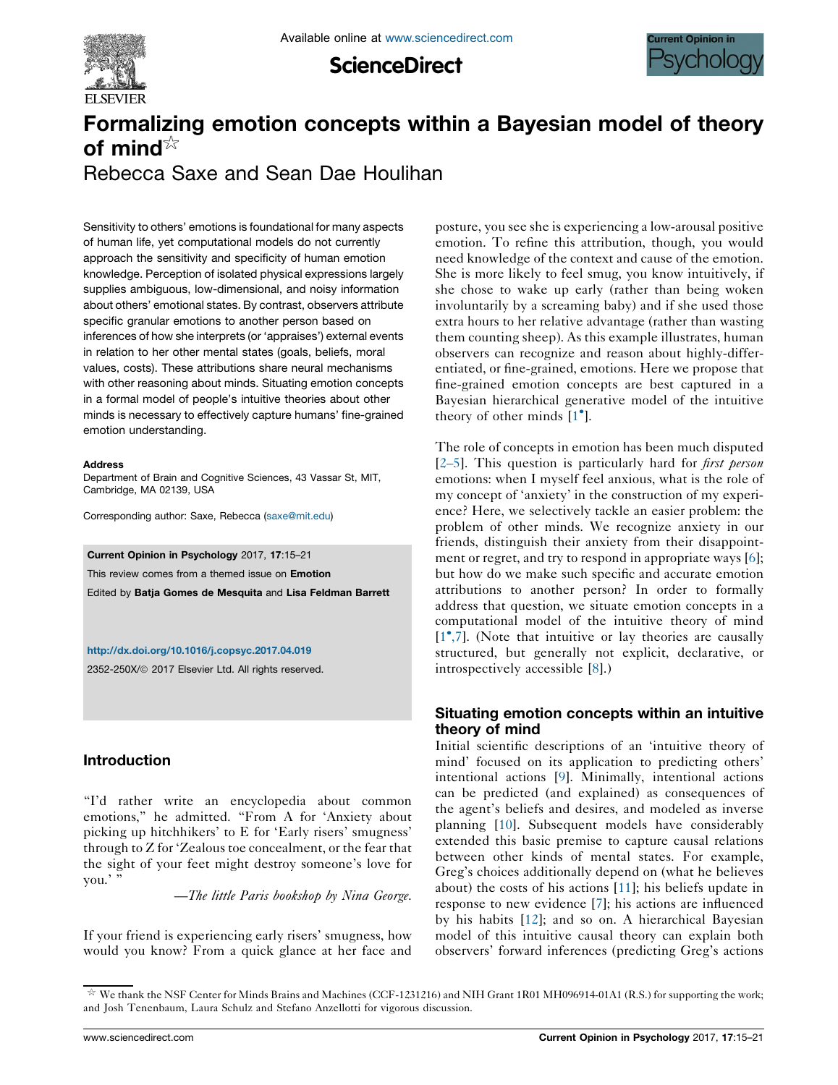

**ScienceDirect** 



# Formalizing emotion concepts within a Bayesian model of theory of mind $\overline{\mathbb{X}}$ Rebecca Saxe and Sean Dae Houlihan

Sensitivity to others' emotions is foundational for many aspects of human life, yet computational models do not currently approach the sensitivity and specificity of human emotion knowledge. Perception of isolated physical expressions largely supplies ambiguous, low-dimensional, and noisy information about others' emotional states. By contrast, observers attribute specific granular emotions to another person based on inferences of how she interprets (or 'appraises') external events in relation to her other mental states (goals, beliefs, moral values, costs). These attributions share neural mechanisms with other reasoning about minds. Situating emotion concepts in a formal model of people's intuitive theories about other minds is necessary to effectively capture humans' fine-grained emotion understanding.

#### Address

Department of Brain and Cognitive Sciences, 43 Vassar St, MIT, Cambridge, MA 02139, USA

Corresponding author: Saxe, Rebecca ([saxe@mit.edu\)](mailto:saxe@mit.edu)

#### Current Opinion in Psychology 2017, 17:15–21

This review comes from a themed issue on Emotion

Edited by Batja Gomes de Mesquita and Lisa Feldman Barrett

### <http://dx.doi.org/10.1016/j.copsyc.2017.04.019>

2352-250X/ã 2017 Elsevier Ltd. All rights reserved.

# Introduction

"I'd rather write an encyclopedia about common emotions," he admitted. "From A for 'Anxiety about picking up hitchhikers' to E for 'Early risers' smugness' through to Z for 'Zealous toe concealment, or the fear that the sight of your feet might destroy someone's love for vou.''

—The little Paris bookshop by Nina George.

If your friend is experiencing early risers' smugness, how would you know? From a quick glance at her face and posture, you see she is experiencing a low-arousal positive emotion. To refine this attribution, though, you would need knowledge of the context and cause of the emotion. She is more likely to feel smug, you know intuitively, if she chose to wake up early (rather than being woken involuntarily by a screaming baby) and if she used those extra hours to her relative advantage (rather than wasting them counting sheep). As this example illustrates, human observers can recognize and reason about highly-differentiated, or fine-grained, emotions. Here we propose that fine-grained emotion concepts are best captured in a Bayesian hierarchical generative model of the intuitive theory of other minds  $[1^{\bullet}]$ .

The role of concepts in emotion has been much disputed  $[2-5]$ . This question is particularly hard for *first person* emotions: when I myself feel anxious, what is the role of my concept of 'anxiety' in the construction of my experience? Here, we selectively tackle an easier problem: the problem of other minds. We recognize anxiety in our friends, distinguish their anxiety from their disappointment or regret, and try to respond in appropriate ways [[6\]](#page-4-0); but how do we make such specific and accurate emotion attributions to another person? In order to formally address that question, we situate emotion concepts in a computational model of the intuitive theory of mind [1 [,7\]](#page-4-0). (Note that intuitive or lay theories are causally structured, but generally not explicit, declarative, or introspectively accessible [\[8](#page-4-0)].)

### Situating emotion concepts within an intuitive theory of mind

Initial scientific descriptions of an 'intuitive theory of mind' focused on its application to predicting others' intentional actions [\[9](#page-4-0)]. Minimally, intentional actions can be predicted (and explained) as consequences of the agent's beliefs and desires, and modeled as inverse planning [[10\]](#page-4-0). Subsequent models have considerably extended this basic premise to capture causal relations between other kinds of mental states. For example, Greg's choices additionally depend on (what he believes about) the costs of his actions [[11\]](#page-4-0); his beliefs update in response to new evidence [[7\]](#page-4-0); his actions are influenced by his habits [[12\]](#page-4-0); and so on. A hierarchical Bayesian model of this intuitive causal theory can explain both observers' forward inferences (predicting Greg's actions

 $*$  We thank the NSF Center for Minds Brains and Machines (CCF-1231216) and NIH Grant 1R01 MH096914-01A1 (R.S.) for supporting the work; and Josh Tenenbaum, Laura Schulz and Stefano Anzellotti for vigorous discussion.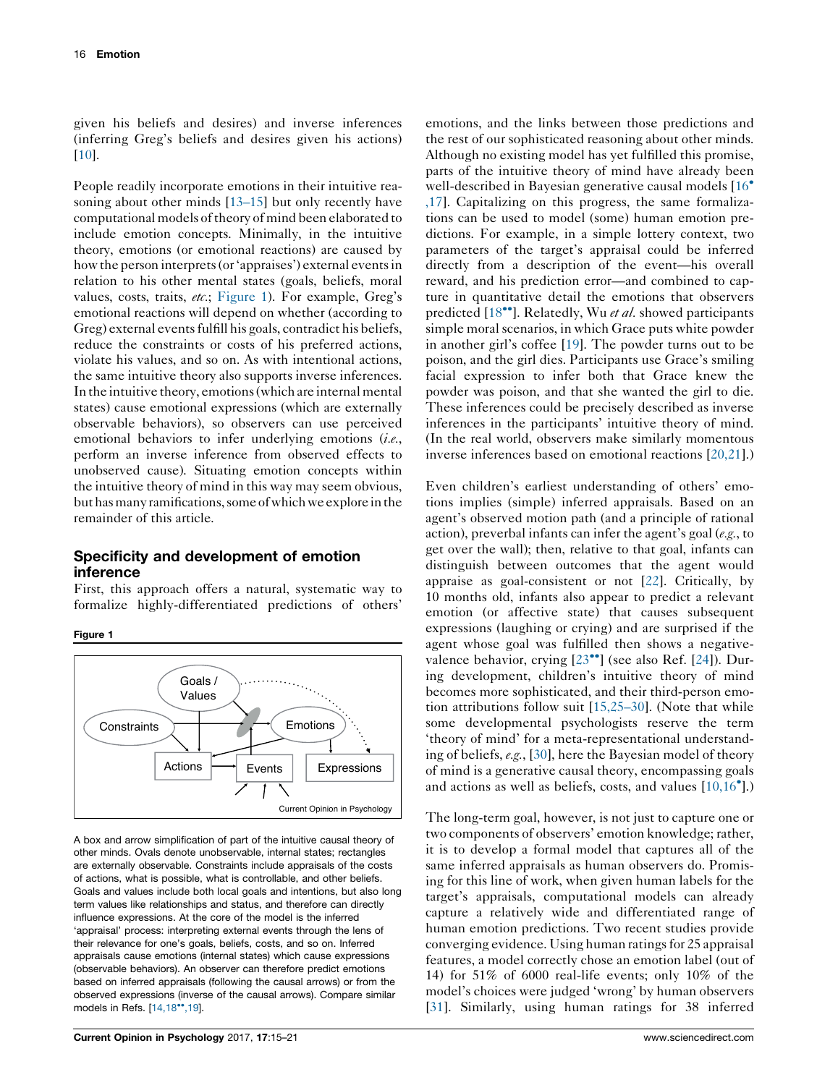given his beliefs and desires) and inverse inferences (inferring Greg's beliefs and desires given his actions) [\[10](#page-4-0)].

People readily incorporate emotions in their intuitive reasoning about other minds [[13–15\]](#page-4-0) but only recently have computational models oftheory of mind been elaborated to include emotion concepts. Minimally, in the intuitive theory, emotions (or emotional reactions) are caused by how the person interprets (or 'appraises') external events in relation to his other mental states (goals, beliefs, moral values, costs, traits, etc.; Figure 1). For example, Greg's emotional reactions will depend on whether (according to Greg) external eventsfulfill his goals, contradict his beliefs, reduce the constraints or costs of his preferred actions, violate his values, and so on. As with intentional actions, the same intuitive theory also supports inverse inferences. In the intuitive theory, emotions (which are internal mental states) cause emotional expressions (which are externally observable behaviors), so observers can use perceived emotional behaviors to infer underlying emotions (i.e., perform an inverse inference from observed effects to unobserved cause). Situating emotion concepts within the intuitive theory of mind in this way may seem obvious, buthasmany ramifications, some of whichwe explore in the remainder of this article.

# Specificity and development of emotion inference

First, this approach offers a natural, systematic way to formalize highly-differentiated predictions of others'





A box and arrow simplification of part of the intuitive causal theory of other minds. Ovals denote unobservable, internal states; rectangles are externally observable. Constraints include appraisals of the costs of actions, what is possible, what is controllable, and other beliefs. Goals and values include both local goals and intentions, but also long term values like relationships and status, and therefore can directly influence expressions. At the core of the model is the inferred 'appraisal' process: interpreting external events through the lens of their relevance for one's goals, beliefs, costs, and so on. Inferred appraisals cause emotions (internal states) which cause expressions (observable behaviors). An observer can therefore predict emotions based on inferred appraisals (following the causal arrows) or from the observed expressions (inverse of the causal arrows). Compare similar models in Refs. [[14,18](#page-4-0)\*\*,19].

emotions, and the links between those predictions and the rest of our sophisticated reasoning about other minds. Although no existing model has yet fulfilled this promise, parts of the intuitive theory of mind have already been well-described in Bayesian generative causal models [[16](#page-4-0)<sup>°</sup> [,17\]](#page-4-0). Capitalizing on this progress, the same formalizations can be used to model (some) human emotion predictions. For example, in a simple lottery context, two parameters of the target's appraisal could be inferred directly from a description of the event—his overall reward, and his prediction error—and combined to capture in quantitative detail the emotions that observers predicted  $[18\text{°}$ . Relatedly, Wu *et al.* showed [participants](#page-4-0) simple moral scenarios, in which Grace puts white powder in another girl's coffee [[19\]](#page-4-0). The powder turns out to be poison, and the girl dies. Participants use Grace's smiling facial expression to infer both that Grace knew the powder was poison, and that she wanted the girl to die. These inferences could be precisely described as inverse inferences in the participants' intuitive theory of mind. (In the real world, observers make similarly momentous inverse inferences based on emotional reactions [[20,21](#page-4-0)].)

Even children's earliest understanding of others' emotions implies (simple) inferred appraisals. Based on an agent's observed motion path (and a principle of rational action), preverbal infants can infer the agent's goal (e.g., to get over the wall); then, relative to that goal, infants can distinguish between outcomes that the agent would appraise as goal-consistent or not [[22\]](#page-4-0). Critically, by 10 months old, infants also appear to predict a relevant emotion (or affective state) that causes subsequent expressions (laughing or crying) and are surprised if the agent whose goal was fulfilled then shows a negativevalence behavior, crying  $[23\bullet]$  (see also [Ref.](#page-4-0) [[24\]](#page-4-0)). During development, children's intuitive theory of mind becomes more sophisticated, and their third-person emotion attributions follow suit [[15,25–30](#page-4-0)]. (Note that while some developmental psychologists reserve the term 'theory of mind' for a meta-representational understanding of beliefs, e.g., [\[30](#page-5-0)], here the Bayesian model of theory of mind is a generative causal theory, encompassing goals and actions as well as beliefs, costs, and values [[10,16](#page-4-0) ].)

The long-term goal, however, is not just to capture one or two components of observers' emotion knowledge; rather, it is to develop a formal model that captures all of the same inferred appraisals as human observers do. Promising for this line of work, when given human labels for the target's appraisals, computational models can already capture a relatively wide and differentiated range of human emotion predictions. Two recent studies provide converging evidence. Using human ratings for 25 appraisal features, a model correctly chose an emotion label (out of 14) for 51% of 6000 real-life events; only 10% of the model's choices were judged 'wrong' by human observers [\[31](#page-5-0)]. Similarly, using human ratings for 38 inferred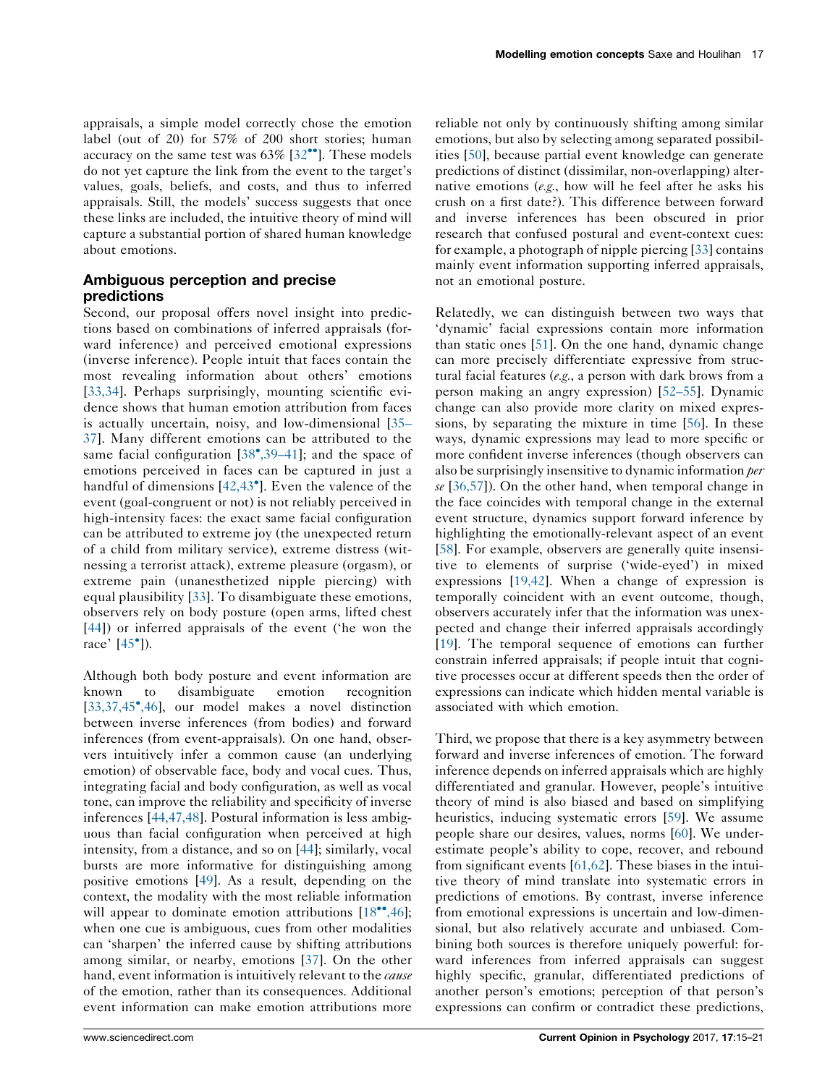appraisals, a simple model correctly chose the emotion label (out of 20) for 57% of 200 short stories; human accuracy on the same test was  $63\%$  [32<sup> $\bullet$ </sup>]. These [models](#page-5-0) do not yet capture the link from the event to the target's values, goals, beliefs, and costs, and thus to inferred appraisals. Still, the models' success suggests that once these links are included, the intuitive theory of mind will capture a substantial portion of shared human knowledge about emotions.

## Ambiguous perception and precise predictions

Second, our proposal offers novel insight into predictions based on combinations of inferred appraisals (forward inference) and perceived emotional expressions (inverse inference). People intuit that faces contain the most revealing information about others' emotions [\[33,34](#page-5-0)]. Perhaps surprisingly, mounting scientific evidence shows that human emotion attribution from faces is actually uncertain, noisy, and low-dimensional [\[35–](#page-5-0) [37](#page-5-0)]. Many different emotions can be attributed to the same facial configuration [38<sup>°</sup>[,39–41](#page-5-0)]; and the space of emotions perceived in faces can be captured in just a handful of dimensions [42,43 ]. Even the [valence](#page-5-0) of the event (goal-congruent or not) is not reliably perceived in high-intensity faces: the exact same facial configuration can be attributed to extreme joy (the unexpected return of a child from military service), extreme distress (witnessing a terrorist attack), extreme pleasure (orgasm), or extreme pain (unanesthetized nipple piercing) with equal plausibility [[33\]](#page-5-0). To disambiguate these emotions, observers rely on body posture (open arms, lifted chest [\[44](#page-5-0)]) or inferred appraisals of the event ('he won the race' [\[45](#page-5-0)<sup>•</sup>]).

Although both body posture and event information are known to disambiguate emotion recognition [\[33,37,45](#page-5-0)<sup>\*</sup>,46], our model makes a novel distinction between inverse inferences (from bodies) and forward inferences (from event-appraisals). On one hand, observers intuitively infer a common cause (an underlying emotion) of observable face, body and vocal cues. Thus, integrating facial and body configuration, as well as vocal tone, can improve the reliability and specificity of inverse inferences [[44,47,48\]](#page-5-0). Postural information is less ambiguous than facial configuration when perceived at high intensity, from a distance, and so on [[44\]](#page-5-0); similarly, vocal bursts are more informative for distinguishing among positive emotions [[49\]](#page-5-0). As a result, depending on the context, the modality with the most reliable information will appear to dominate emotion attributions  $[18\degree,46]$  $[18\degree,46]$  $[18\degree,46]$ ; when one cue is ambiguous, cues from other modalities can 'sharpen' the inferred cause by shifting attributions among similar, or nearby, emotions [\[37](#page-5-0)]. On the other hand, event information is intuitively relevant to the *cause* of the emotion, rather than its consequences. Additional event information can make emotion attributions more reliable not only by continuously shifting among similar emotions, but also by selecting among separated possibilities [\[50](#page-5-0)], because partial event knowledge can generate predictions of distinct (dissimilar, non-overlapping) alternative emotions (e.g., how will he feel after he asks his crush on a first date?). This difference between forward and inverse inferences has been obscured in prior research that confused postural and event-context cues: for example, a photograph of nipple piercing [\[33](#page-5-0)] contains mainly event information supporting inferred appraisals, not an emotional posture.

Relatedly, we can distinguish between two ways that 'dynamic' facial expressions contain more information than static ones [\[51](#page-5-0)]. On the one hand, dynamic change can more precisely differentiate expressive from structural facial features (e.g., <sup>a</sup> person with dark brows from <sup>a</sup> person making an angry expression) [\[52–55](#page-5-0)]. Dynamic change can also provide more clarity on mixed expressions, by separating the mixture in time [\[56](#page-5-0)]. In these ways, dynamic expressions may lead to more specific or more confident inverse inferences (though observers can also be surprisingly insensitive to dynamic information *per* se  $[36,57]$ ). On the other hand, when temporal change in the face coincides with temporal change in the external event structure, dynamics support forward inference by highlighting the emotionally-relevant aspect of an event [[58](#page-5-0)]. For example, observers are generally quite insensitive to elements of surprise ('wide-eyed') in mixed expressions [[19,42](#page-4-0)]. When a change of expression is temporally coincident with an event outcome, though, observers accurately infer that the information was unexpected and change their inferred appraisals accordingly [[19](#page-4-0)]. The temporal sequence of emotions can further constrain inferred appraisals; if people intuit that cognitive processes occur at different speeds then the order of expressions can indicate which hidden mental variable is associated with which emotion.

Third, we propose that there is a key asymmetry between forward and inverse inferences of emotion. The forward inference depends on inferred appraisals which are highly differentiated and granular. However, people's intuitive theory of mind is also biased and based on simplifying heuristics, inducing systematic errors [\[59](#page-5-0)]. We assume people share our desires, values, norms [\[60](#page-5-0)]. We underestimate people's ability to cope, recover, and rebound from significant events [[61,62](#page-5-0)]. These biases in the intuitive theory of mind translate into systematic errors in predictions of emotions. By contrast, inverse inference from emotional expressions is uncertain and low-dimensional, but also relatively accurate and unbiased. Combining both sources is therefore uniquely powerful: forward inferences from inferred appraisals can suggest highly specific, granular, differentiated predictions of another person's emotions; perception of that person's expressions can confirm or contradict these predictions,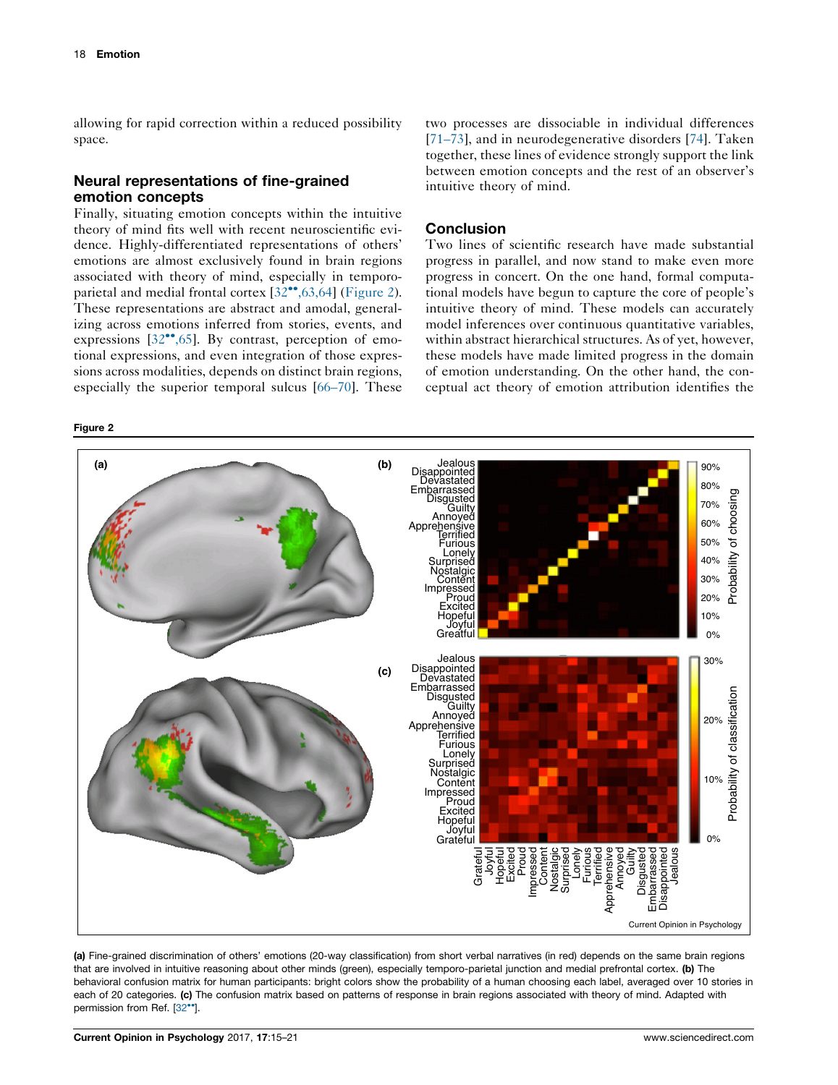allowing for rapid correction within a reduced possibility space.

### Neural representations of fine-grained emotion concepts

Finally, situating emotion concepts within the intuitive theory of mind fits well with recent neuroscientific evidence. Highly-differentiated representations of others' emotions are almost exclusively found in brain regions associated with theory of mind, especially in temporoparietal and medial frontal cortex  $[32^{\bullet\bullet}, 63, 64]$  (Figure 2). These representations are abstract and amodal, generalizing across emotions inferred from stories, events, and expressions  $[32^{\bullet\bullet}, 65]$ . By contrast, perception of emotional expressions, and even integration of those expressions across modalities, depends on distinct brain regions, especially the superior temporal sulcus [[66–70\]](#page-6-0). These

Figure 2

two processes are dissociable in individual differences [\[71–73](#page-6-0)], and in neurodegenerative disorders [\[74](#page-6-0)]. Taken together, these lines of evidence strongly support the link between emotion concepts and the rest of an observer's intuitive theory of mind.

### **Conclusion**

Two lines of scientific research have made substantial progress in parallel, and now stand to make even more progress in concert. On the one hand, formal computational models have begun to capture the core of people's intuitive theory of mind. These models can accurately model inferences over continuous quantitative variables, within abstract hierarchical structures. As of yet, however, these models have made limited progress in the domain of emotion understanding. On the other hand, the conceptual act theory of emotion attribution identifies the



(a) Fine-grained discrimination of others' emotions (20-way classification) from short verbal narratives (in red) depends on the same brain regions that are involved in intuitive reasoning about other minds (green), especially temporo-parietal junction and medial prefrontal cortex. (b) The behavioral confusion matrix for human participants: bright colors show the probability of a human choosing each label, averaged over 10 stories in each of 20 categories. (c) The confusion matrix based on patterns of response in brain regions associated with theory of mind. Adapted with permission from Ref. [[32](#page-5-0)\*].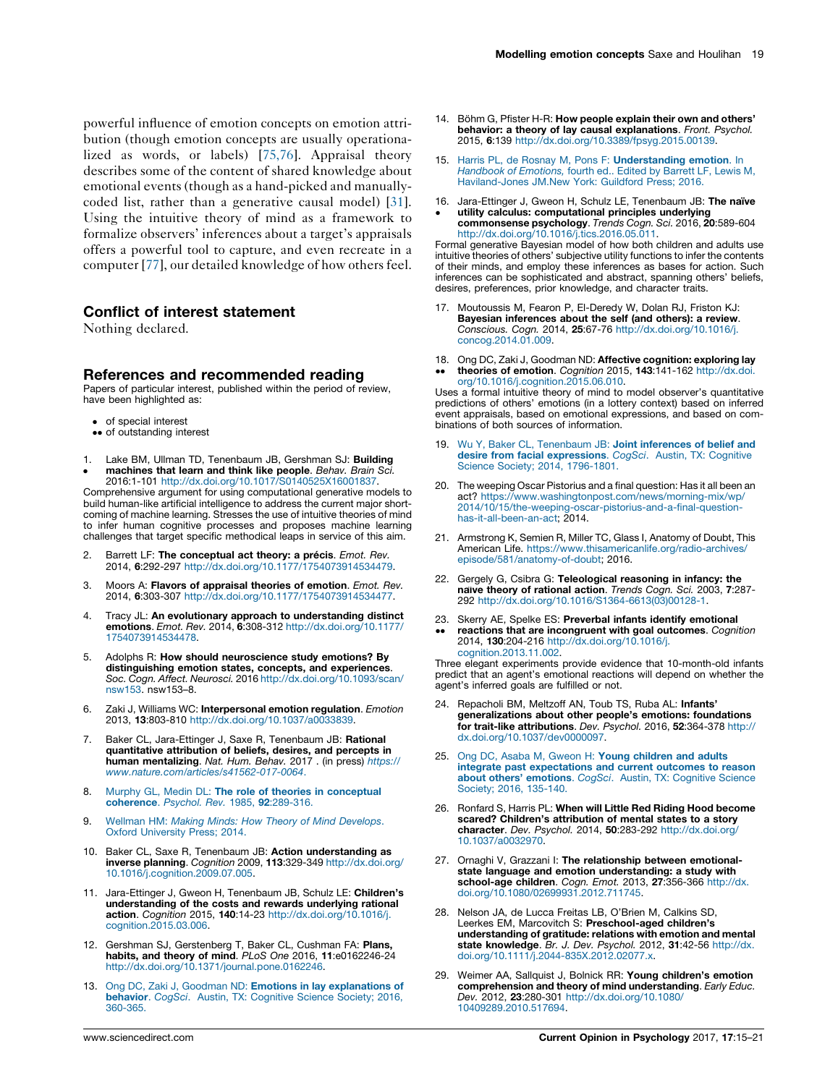<span id="page-4-0"></span>powerful influence of emotion concepts on emotion attribution (though emotion concepts are usually operationalized as words, or labels) [\[75,76\]](#page-6-0). Appraisal theory describes some of the content of shared knowledge about emotional events (though as a hand-picked and manuallycoded list, rather than a generative causal model) [\[31](#page-5-0)]. Using the intuitive theory of mind as a framework to formalize observers' inferences about a target's appraisals offers a powerful tool to capture, and even recreate in a computer [[77\]](#page-6-0), our detailed knowledge of how others feel.

### Conflict of interest statement

Nothing declared.

#### References and recommended reading

Papers of particular interest, published within the period of review, have been highlighted as:

- of special interest
- •• of outstanding interest
- 1.  $\bullet$ Lake BM, Ullman TD, Tenenbaum JB, Gershman SJ: Building machines that learn and think like people. Behav. Brain Sci. 2016:1-101 <http://dx.doi.org/10.1017/S0140525X16001837>.

Comprehensive argument for using computational generative models to build human-like artificial intelligence to address the current major shortcoming of machine learning. Stresses the use of intuitive theories of mind to infer human cognitive processes and proposes machine learning challenges that target specific methodical leaps in service of this aim.

- 2. Barrett LF: The conceptual act theory: a précis. Emot. Rev. 2014, 6:292-297 <http://dx.doi.org/10.1177/1754073914534479>.
- 3. Moors A: Flavors of appraisal theories of emotion. Emot. Rev. 2014, 6:303-307 <http://dx.doi.org/10.1177/1754073914534477>.
- 4. Tracy JL: An evolutionary approach to understanding distinct<br>emotions. Emot. Rev. 2014, 6:308-312 [http://dx.doi.org/10.1177/](http://dx.doi.org/10.1177/1754073914534478) [1754073914534478](http://dx.doi.org/10.1177/1754073914534478).
- 5. Adolphs R: How should neuroscience study emotions? By distinguishing emotion states, concepts, and experiences. Soc. Cogn. Affect. Neurosci. 2016 [http://dx.doi.org/10.1093/scan/](http://dx.doi.org/10.1093/scan/nsw153) [nsw153](http://dx.doi.org/10.1093/scan/nsw153). nsw153–8.
- 6. Zaki J, Williams WC: Interpersonal emotion regulation. Emotion 2013, 13:803-810 <http://dx.doi.org/10.1037/a0033839>.
- 7. Baker CL, Jara-Ettinger J, Saxe R, Tenenbaum JB: Rational quantitative attribution of beliefs, desires, and percepts in human mentalizing. Nat. Hum. Behav. 2017 . (in press) [https://](https://www.nature.com/articles/s41562-017-0064) [www.nature.com/articles/s41562-017-0064](https://www.nature.com/articles/s41562-017-0064).
- 8. Murphy GL, Medin DL: The role of theories in [conceptual](http://refhub.elsevier.com/S2352-250X(17)30028-3/sbref0040) [coherence](http://refhub.elsevier.com/S2352-250X(17)30028-3/sbref0040). Psychol. Rev. 1985, 92:289-316.
- 9. Wellman HM: Making Minds: How Theory of Mind [Develops](http://refhub.elsevier.com/S2352-250X(17)30028-3/sbref0045). Oxford [University](http://refhub.elsevier.com/S2352-250X(17)30028-3/sbref0045) Press; 2014.
- 10. Baker CL, Saxe R, Tenenbaum JB: Action understanding as inverse planning. Cognition 2009, 113:329-349 [http://dx.doi.org/](http://dx.doi.org/10.1016/j.cognition.2009.07.005) [10.1016/j.cognition.2009.07.005.](http://dx.doi.org/10.1016/j.cognition.2009.07.005)
- 11. Jara-Ettinger J, Gweon H, Tenenbaum JB, Schulz LE: Children's understanding of the costs and rewards underlying rational action. Cognition 2015, 140:14-23 [http://dx.doi.org/10.1016/j.](http://dx.doi.org/10.1016/j.cognition.2015.03.006) [cognition.2015.03.006.](http://dx.doi.org/10.1016/j.cognition.2015.03.006)
- 12. Gershman SJ, Gerstenberg T, Baker CL, Cushman FA: Plans, habits, and theory of mind. PLoS One 2016, 11:e0162246-24 [http://dx.doi.org/10.1371/journal.pone.0162246.](http://dx.doi.org/10.1371/journal.pone.0162246)
- 13. Ong DC, Zaki J, Goodman ND: Emotions in lay [explanations](http://refhub.elsevier.com/S2352-250X(17)30028-3/sbref0065) of behavior. CogSci. Austin, TX: [Cognitive](http://refhub.elsevier.com/S2352-250X(17)30028-3/sbref0065) Science Society; 2016, [360-365](http://refhub.elsevier.com/S2352-250X(17)30028-3/sbref0065).
- 14. Böhm G, Pfister H-R: How people explain their own and others' behavior: a theory of lay causal explanations. Front. Psychol. 2015, 6:139 [http://dx.doi.org/10.3389/fpsyg.2015.00139.](http://dx.doi.org/10.3389/fpsyg.2015.00139)
- 15. Harris PL, de Rosnay M, Pons F: [Understanding](http://refhub.elsevier.com/S2352-250X(17)30028-3/sbref0075) emotion. In [Handbook](http://refhub.elsevier.com/S2352-250X(17)30028-3/sbref0075) of Emotions, fourth ed.. Edited by Barrett LF, Lewis M, [Haviland-Jones](http://refhub.elsevier.com/S2352-250X(17)30028-3/sbref0075) JM.New York: Guildford Press; 2016.
- 16. Jara-Ettinger J, Gweon H, Schulz LE, Tenenbaum JB: The naïve .<br>. utility calculus: computational principles underlying commonsense psychology. Trends Cogn. Sci. 2016, 20:589-604 [http://dx.doi.org/10.1016/j.tics.2016.05.011.](http://dx.doi.org/10.1016/j.tics.2016.05.011)

Formal generative Bayesian model of how both children and adults use intuitive theories of others' subjective utility functions to infer the contents of their minds, and employ these inferences as bases for action. Such inferences can be sophisticated and abstract, spanning others' beliefs, desires, preferences, prior knowledge, and character traits.

- 17. Moutoussis M, Fearon P, El-Deredy W, Dolan RJ, Friston KJ: Bayesian inferences about the self (and others): a review. Conscious. Cogn. 2014, 25:67-76 [http://dx.doi.org/10.1016/j.](http://dx.doi.org/10.1016/j.concog.2014.01.009) [concog.2014.01.009](http://dx.doi.org/10.1016/j.concog.2014.01.009).
- 18. Ong DC, Zaki J, Goodman ND: Affective cognition: exploring lay  $\ddot{\phantom{0}}$ theories of emotion. Cognition 2015, 143:141-162 [http://dx.doi.](http://dx.doi.org/10.1016/j.cognition.2015.06.010) [org/10.1016/j.cognition.2015.06.010.](http://dx.doi.org/10.1016/j.cognition.2015.06.010)

Uses a formal intuitive theory of mind to model observer's quantitative predictions of others' emotions (in a lottery context) based on inferred event appraisals, based on emotional expressions, and based on combinations of both sources of information.

- 19. Wu Y, Baker CL, [Tenenbaum](http://refhub.elsevier.com/S2352-250X(17)30028-3/sbref0095) JB: Joint inferences of belief and desire from facial [expressions](http://refhub.elsevier.com/S2352-250X(17)30028-3/sbref0095). CogSci. Austin, TX: Cognitive Science Society; 2014, [1796-1801](http://refhub.elsevier.com/S2352-250X(17)30028-3/sbref0095).
- 20. The weeping Oscar Pistorius and a final question: Has it all been an act? [https://www.washingtonpost.com/news/morning-mix/wp/](https://www.washingtonpost.com/news/morning-mix/wp/2014/10/15/the-weeping-oscar-pistorius-and-a-final-question-has-it-all-been-an-act) [2014/10/15/the-weeping-oscar-pistorius-and-a-final-question-](https://www.washingtonpost.com/news/morning-mix/wp/2014/10/15/the-weeping-oscar-pistorius-and-a-final-question-has-it-all-been-an-act)[has-it-all-been-an-act;](https://www.washingtonpost.com/news/morning-mix/wp/2014/10/15/the-weeping-oscar-pistorius-and-a-final-question-has-it-all-been-an-act) 2014.
- 21. Armstrong K, Semien R, Miller TC, Glass I, Anatomy of Doubt, This American Life. [https://www.thisamericanlife.org/radio-archives/](https://www.thisamericanlife.org/radio-archives/episode/581/anatomy-of-doubt) [episode/581/anatomy-of-doubt](https://www.thisamericanlife.org/radio-archives/episode/581/anatomy-of-doubt); 2016.
- 22. Gergely G, Csibra G: Teleological reasoning in infancy: the naive theory of rational action. Trends Cogn. Sci. 2003, 7:287-292 [http://dx.doi.org/10.1016/S1364-6613\(03\)00128-1](http://dx.doi.org/10.1016/S1364-6613(03)00128-1).
- 23. Skerry AE, Spelke ES: Preverbal infants identify emotional  $\ddot{\phantom{0}}$ reactions that are incongruent with goal outcomes. Cognition 2014, 130:204-216 [http://dx.doi.org/10.1016/j.](http://dx.doi.org/10.1016/j.cognition.2013.11.002) [cognition.2013.11.002.](http://dx.doi.org/10.1016/j.cognition.2013.11.002)

Three elegant experiments provide evidence that 10-month-old infants predict that an agent's emotional reactions will depend on whether the agent's inferred goals are fulfilled or not.

- 24. Repacholi BM, Meltzoff AN, Toub TS, Ruba AL: Infants' generalizations about other people's emotions: foundations<br>for trait-like attributions. Dev. Psychol. 2016, 52:364-378 [http://](http://dx.doi.org/10.1037/dev0000097) [dx.doi.org/10.1037/dev0000097.](http://dx.doi.org/10.1037/dev0000097)
- 25. Ong DC, Asaba M, Gweon H: Young [children](http://refhub.elsevier.com/S2352-250X(17)30028-3/sbref0125) and adults integrate past [expectations](http://refhub.elsevier.com/S2352-250X(17)30028-3/sbref0125) and current outcomes to reason about others' [emotions](http://refhub.elsevier.com/S2352-250X(17)30028-3/sbref0125). CogSci. Austin, TX: Cognitive Science Society; 2016, [135-140.](http://refhub.elsevier.com/S2352-250X(17)30028-3/sbref0125)
- 26. Ronfard S, Harris PL: When will Little Red Riding Hood become scared? Children's attribution of mental states to a story character. Dev. Psychol. 2014, 50:283-292 [http://dx.doi.org/](http://dx.doi.org/10.1037/a0032970) [10.1037/a0032970.](http://dx.doi.org/10.1037/a0032970)
- 27. Ornaghi V, Grazzani I: The relationship between emotionalstate language and emotion understanding: a study with school-age children. Cogn. Emot. 2013, 27:356-366 [http://dx.](http://dx.doi.org/10.1080/02699931.2012.711745) [doi.org/10.1080/02699931.2012.711745.](http://dx.doi.org/10.1080/02699931.2012.711745)
- 28. Nelson JA, de Lucca Freitas LB, O'Brien M, Calkins SD, Leerkes EM, Marcovitch S: Preschool-aged children's understanding of gratitude: relations with emotion and mental state knowledge. Br. J. Dev. Psychol. 2012, 31:42-56 [http://dx.](http://dx.doi.org/10.1111/j.2044-835X.2012.02077.x) [doi.org/10.1111/j.2044-835X.2012.02077.x.](http://dx.doi.org/10.1111/j.2044-835X.2012.02077.x)
- 29. Weimer AA, Sallquist J, Bolnick RR: Young children's emotion comprehension and theory of mind understanding. Early Educ. Dev. 2012, 23:280-301 [http://dx.doi.org/10.1080/](http://dx.doi.org/10.1080/10409289.2010.517694) [10409289.2010.517694](http://dx.doi.org/10.1080/10409289.2010.517694).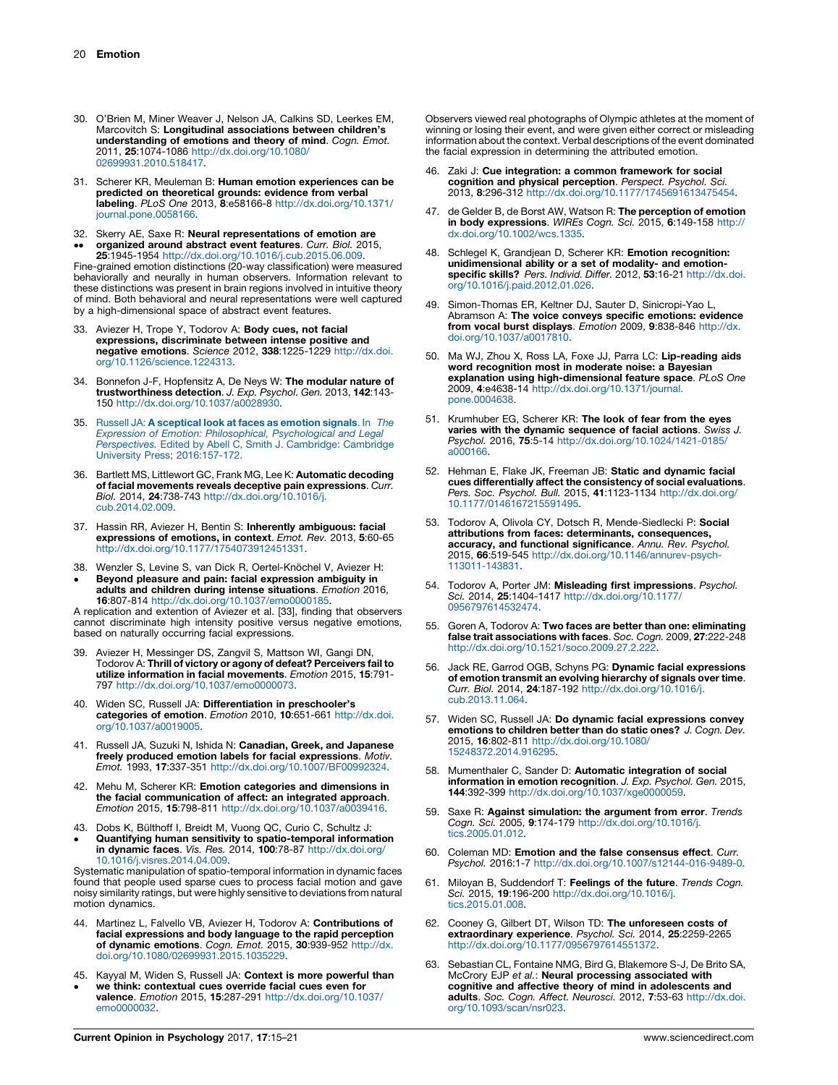- <span id="page-5-0"></span>30. O'Brien M, Miner Weaver J, Nelson JA, Calkins SD, Leerkes EM, Marcovitch S: Longitudinal associations between children's understanding of emotions and theory of mind. Cogn. Emot. 2011, 25:1074-1086 [http://dx.doi.org/10.1080/](http://dx.doi.org/10.1080/02699931.2010.518417) [02699931.2010.518417.](http://dx.doi.org/10.1080/02699931.2010.518417)
- 31. Scherer KR, Meuleman B: Human emotion experiences can be predicted on theoretical grounds: evidence from verbal labeling. PLoS One 2013, 8:e58166-8 [http://dx.doi.org/10.1371/](http://dx.doi.org/10.1371/journal.pone.0058166) [journal.pone.0058166.](http://dx.doi.org/10.1371/journal.pone.0058166)
- 32. Skerry AE, Saxe R: Neural representations of emotion are
- $\bullet\bullet$ organized around abstract event features. Curr. Biol. 2015, 25:1945-1954 <http://dx.doi.org/10.1016/j.cub.2015.06.009>.

Fine-grained emotion distinctions (20-way classification) were measured behaviorally and neurally in human observers. Information relevant to these distinctions was present in brain regions involved in intuitive theory of mind. Both behavioral and neural representations were well captured by a high-dimensional space of abstract event features.

- 33. Aviezer H, Trope Y, Todorov A: Body cues, not facial expressions, discriminate between intense positive and negative emotions. Science 2012, 338:1225-1229 [http://dx.doi.](http://dx.doi.org/10.1126/science.1224313) [org/10.1126/science.1224313.](http://dx.doi.org/10.1126/science.1224313)
- 34. Bonnefon J-F, Hopfensitz A, De Neys W: The modular nature of trustworthiness detection. J. Exp. Psychol. Gen. 2013, 142:143- 150 <http://dx.doi.org/10.1037/a0028930>.
- 35. Russell JA: A [sceptical](http://refhub.elsevier.com/S2352-250X(17)30028-3/sbref0175) look at faces as emotion signals. In The Expression of Emotion: [Philosophical,](http://refhub.elsevier.com/S2352-250X(17)30028-3/sbref0175) Psychological and Legal [Perspectives.](http://refhub.elsevier.com/S2352-250X(17)30028-3/sbref0175) Edited by Abell C, Smith J. Cambridge: Cambridge University Press; [2016:157-172](http://refhub.elsevier.com/S2352-250X(17)30028-3/sbref0175).
- 36. Bartlett MS, Littlewort GC, Frank MG, Lee K: Automatic decoding **of facial movements reveals deceptive pain expressions**. *Curr.*<br>*Biol. 2*014, **24**:738-743 [http://dx.doi.org/10.1016/j.](http://dx.doi.org/10.1016/j.cub.2014.02.009) [cub.2014.02.009](http://dx.doi.org/10.1016/j.cub.2014.02.009).
- 37. Hassin RR, Aviezer H, Bentin S: Inherently ambiguous: facial expressions of emotions, in context. Emot. Rev. 2013, 5:60-65 [http://dx.doi.org/10.1177/1754073912451331.](http://dx.doi.org/10.1177/1754073912451331)
- 38. Wenzler S, Levine S, van Dick R, Oertel-Knöchel V, Aviezer H: Beyond pleasure and pain: facial expression ambiguity in
- $\bullet$ adults and children during intense situations. Emotion 2016, 16:807-814 [http://dx.doi.org/10.1037/emo0000185.](http://dx.doi.org/10.1037/emo0000185) A replication and extention of Aviezer et al. [33], finding that observers

cannot discriminate high intensity positive versus negative emotions, based on naturally occurring facial expressions.

- 39. Aviezer H, Messinger DS, Zangvil S, Mattson WI, Gangi DN, Todorov A: Thrill of victory or agony of defeat? Perceivers fail to utilize information in facial movements. Emotion 2015, 15:791- 797 [http://dx.doi.org/10.1037/emo0000073.](http://dx.doi.org/10.1037/emo0000073)
- 40. Widen SC, Russell JA: Differentiation in preschooler's categories of emotion. Emotion 2010, 10:651-661 [http://dx.doi.](http://dx.doi.org/10.1037/a0019005) [org/10.1037/a0019005](http://dx.doi.org/10.1037/a0019005).
- 41. Russell JA, Suzuki N, Ishida N: Canadian, Greek, and Japanese freely produced emotion labels for facial expressions. Motiv. Emot. 1993, 17:337-351 [http://dx.doi.org/10.1007/BF00992324.](http://dx.doi.org/10.1007/BF00992324)
- 42. Mehu M, Scherer KR: Emotion categories and dimensions in the facial communication of affect: an integrated approach. Emotion 2015, 15:798-811 <http://dx.doi.org/10.1037/a0039416>.
- 43. Dobs K, Bülthoff I, Breidt M, Vuong QC, Curio C, Schultz J:
- $\bullet$ Quantifying human sensitivity to spatio-temporal information in dynamic faces. Vis. Res. 2014, 100:78-87 [http://dx.doi.org/](http://dx.doi.org/10.1016/j.visres.2014.04.009) [10.1016/j.visres.2014.04.009](http://dx.doi.org/10.1016/j.visres.2014.04.009).

Systematic manipulation of spatio-temporal information in dynamic faces found that people used sparse cues to process facial motion and gave noisy similarity ratings, but were highly sensitive to deviations from natural motion dynamics.

- Martinez L, Falvello VB, Aviezer H, Todorov A: Contributions of facial expressions and body language to the rapid perception of dynamic emotions. Cogn. Emot. 2015, 30:939-952 [http://dx.](http://dx.doi.org/10.1080/02699931.2015.1035229) [doi.org/10.1080/02699931.2015.1035229](http://dx.doi.org/10.1080/02699931.2015.1035229).
- 45. Kayyal M, Widen S, Russell JA: Context is more powerful than  $\bullet$ we think: contextual cues override facial cues even for valence. Emotion 2015, 15:287-291 [http://dx.doi.org/10.1037/](http://dx.doi.org/10.1037/emo0000032) [emo0000032.](http://dx.doi.org/10.1037/emo0000032)

Observers viewed real photographs of Olympic athletes at the moment of winning or losing their event, and were given either correct or misleading information about the context. Verbal descriptions of the event dominated the facial expression in determining the attributed emotion.

- 46. Zaki J: Cue integration: a common framework for social cognition and physical perception. Perspect. Psychol. Sci. 2013, 8:296-312 <http://dx.doi.org/10.1177/1745691613475454>.
- 47. de Gelder B, de Borst AW, Watson R: The perception of emotion in body expressions. WIREs Cogn. Sci. 2015, 6:149-158 [http://](http://dx.doi.org/10.1002/wcs.1335) [dx.doi.org/10.1002/wcs.1335](http://dx.doi.org/10.1002/wcs.1335).
- 48. Schlegel K, Grandjean D, Scherer KR: Emotion recognition: unidimensional ability or a set of modality- and emotionspecific skills? Pers. Individ. Differ. 2012, 53:16-21 [http://dx.doi.](http://dx.doi.org/10.1016/j.paid.2012.01.026) [org/10.1016/j.paid.2012.01.026](http://dx.doi.org/10.1016/j.paid.2012.01.026).
- 49. Simon-Thomas ER, Keltner DJ, Sauter D, Sinicropi-Yao L, Abramson A: The voice conveys specific emotions: evidence from vocal burst displays. Emotion 2009, 9:838-846 [http://dx.](http://dx.doi.org/10.1037/a0017810) [doi.org/10.1037/a0017810.](http://dx.doi.org/10.1037/a0017810)
- 50. Ma WJ, Zhou X, Ross LA, Foxe JJ, Parra LC: Lip-reading aids word recognition most in moderate noise: a Bayesian explanation using high-dimensional feature space. PLoS One 2009, 4:e4638-14 [http://dx.doi.org/10.1371/journal.](http://dx.doi.org/10.1371/journal.pone.0004638) [pone.0004638](http://dx.doi.org/10.1371/journal.pone.0004638).
- 51. Krumhuber EG, Scherer KR: The look of fear from the eyes varies with the dynamic sequence of facial actions. Swiss J. Psychol. 2016, 75:5-14 [http://dx.doi.org/10.1024/1421-0185/](http://dx.doi.org/10.1024/1421-0185/a000166) [a000166](http://dx.doi.org/10.1024/1421-0185/a000166).
- 52. Hehman E, Flake JK, Freeman JB: Static and dynamic facial cues differentially affect the consistency of social evaluations. Pers. Soc. Psychol. Bull. 2015, 41:1123-1134 [http://dx.doi.org/](http://dx.doi.org/10.1177/0146167215591495) [10.1177/0146167215591495.](http://dx.doi.org/10.1177/0146167215591495)
- 53. Todorov A, Olivola CY, Dotsch R, Mende-Siedlecki P: Social attributions from faces: determinants, consequences, accuracy, and functional significance. Annu. Rev. Psychol. 2015, 66:519-545 [http://dx.doi.org/10.1146/annurev-psych-](http://dx.doi.org/10.1146/annurev-psych-113011-143831)[113011-143831.](http://dx.doi.org/10.1146/annurev-psych-113011-143831)
- 54. Todorov A, Porter JM: Misleading first impressions. Psychol. Sci. 2014, 25:1404-1417 [http://dx.doi.org/10.1177/](http://dx.doi.org/10.1177/0956797614532474) [0956797614532474.](http://dx.doi.org/10.1177/0956797614532474)
- 55. Goren A, Todorov A: Two faces are better than one: eliminating false trait associations with faces. Soc. Cogn. 2009, 27:222-248 [http://dx.doi.org/10.1521/soco.2009.27.2.222.](http://dx.doi.org/10.1521/soco.2009.27.2.222)
- 56. Jack RE, Garrod OGB, Schyns PG: Dynamic facial expressions of emotion transmit an evolving hierarchy of signals over time. Curr. Biol. 2014, 24:187-192 [http://dx.doi.org/10.1016/j.](http://dx.doi.org/10.1016/j.cub.2013.11.064) [cub.2013.11.064.](http://dx.doi.org/10.1016/j.cub.2013.11.064)
- 57. Widen SC, Russell JA: Do dynamic facial expressions convey emotions to children better than do static ones? J. Cogn. Dev. 2015, 16:802-811 [http://dx.doi.org/10.1080/](http://dx.doi.org/10.1080/15248372.2014.916295) [15248372.2014.916295](http://dx.doi.org/10.1080/15248372.2014.916295).
- 58. Mumenthaler C, Sander D: Automatic integration of social information in emotion recognition. J. Exp. Psychol. Gen. 2015, 144:392-399 <http://dx.doi.org/10.1037/xge0000059>.
- 59. Saxe R: **Against simulation: the argument from error**. Trends<br>Cogn. Sci. 2005, 9:174-179 [http://dx.doi.org/10.1016/j.](http://dx.doi.org/10.1016/j.tics.2005.01.012) [tics.2005.01.012.](http://dx.doi.org/10.1016/j.tics.2005.01.012)
- 60. Coleman MD: Emotion and the false consensus effect. Curr. Psychol. 2016:1-7 [http://dx.doi.org/10.1007/s12144-016-9489-0.](http://dx.doi.org/10.1007/s12144-016-9489-0)
- 61. Miloyan B, Suddendorf T: Feelings of the future. Trends Cogn. Sci. 2015, 19:196-200 [http://dx.doi.org/10.1016/j.](http://dx.doi.org/10.1016/j.tics.2015.01.008) [tics.2015.01.008.](http://dx.doi.org/10.1016/j.tics.2015.01.008)
- 62. Cooney G, Gilbert DT, Wilson TD: The unforeseen costs of extraordinary experience. Psychol. Sci. 2014, 25:2259-2265 [http://dx.doi.org/10.1177/0956797614551372.](http://dx.doi.org/10.1177/0956797614551372)
- Sebastian CL, Fontaine NMG, Bird G, Blakemore S-J, De Brito SA, McCrory EJP et al.: Neural processing associated with cognitive and affective theory of mind in adolescents and adults. Soc. Cogn. Affect. Neurosci. 2012, 7:53-63 [http://dx.doi.](http://dx.doi.org/10.1093/scan/nsr023) [org/10.1093/scan/nsr023.](http://dx.doi.org/10.1093/scan/nsr023)